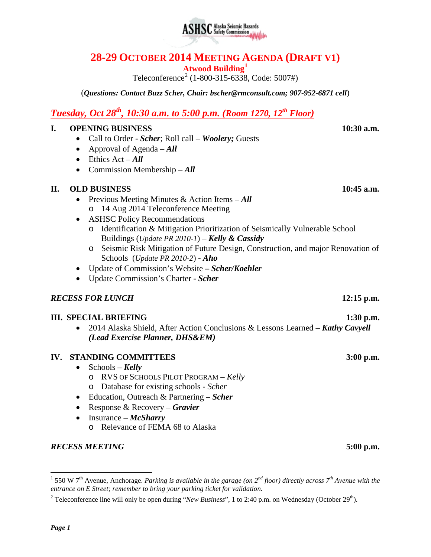# **28-29 OCTOBER 2014 MEETING AGENDA (DRAFT V1)**

**Atwood Building[1](#page-0-0)**

Teleconference<sup>[2](#page-0-1)</sup> (1-800-315-6338, Code: 5007#)

(*Questions: Contact Buzz Scher, Chair: [bscher@rmconsult.com;](mailto:bscher@rmconsult.com) 907-952-6871 cell*)

## *Tuesday, Oct 28th, 10:30 a.m. to 5:00 p.m. (Room 1270, 12th Floor)*

#### **I. OPENING BUSINESS 10:30 a.m.**

- Call to Order *Scher*; Roll call *Woolery;* Guests
- Approval of Agenda *All*
- Ethics Act *All*
- Commission Membership *All*

### **II. OLD BUSINESS 10:45 a.m.**

- Previous Meeting Minutes & Action Items *All* o 14 Aug 2014 Teleconference Meeting
- ASHSC Policy Recommendations o Identification & Mitigation Prioritization of Seismically Vulnerable School Buildings (*Update PR 2010-1*) – *Kelly & Cassidy*
	- o Seismic Risk Mitigation of Future Design, Construction, and major Renovation of Schools (*Update PR 2010-2*) - *Aho*
- Update of Commission's Website **–** *Scher/Koehler*
- Update Commission's Charter *Scher*

### *RECESS FOR LUNCH* **12:15 p.m.**

### **III. SPECIAL BRIEFING 1:30 p.m.**

• 2014 Alaska Shield, After Action Conclusions & Lessons Learned – *Kathy Cavyell (Lead Exercise Planner, DHS&EM)*

### **IV. STANDING COMMITTEES 3:00 p.m.**

- Schools *Kelly*
	- o RVS OF SCHOOLS PILOT PROGRAM *Kelly*
	- o Database for existing schools *Scher*
- Education, Outreach & Partnering *Scher*
- Response & Recovery *Gravier*
- Insurance *McSharry*
	- o Relevance of FEMA 68 to Alaska

### *RECESS MEETING* **5:00 p.m.**



<span id="page-0-0"></span> <sup>1</sup> 550 W 7th Avenue, Anchorage. *Parking is available in the garage (on 2nd floor) directly across 7th Avenue with the entrance on E Street; remember to bring your parking ticket for validation.*

<span id="page-0-1"></span><sup>&</sup>lt;sup>2</sup> Teleconference line will only be open during "*New Business*", 1 to 2:40 p.m. on Wednesday (October 29<sup>th</sup>).